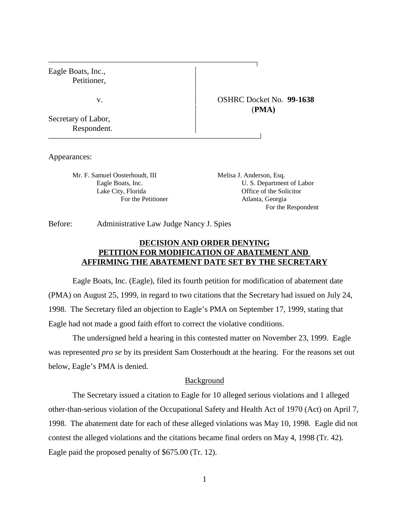Eagle Boats, Inc., Petitioner,  $\overline{1}$ v. OSHRC Docket No. **99-1638** Secretary of Labor, Respondent. 

Appearances:

Mr. F. Samuel Oosterhoudt, III Melisa J. Anderson, Esq.

Eagle Boats, Inc. U. S. Department of Labor Lake City, Florida **Office** of the Solicitor For the Petitioner **Atlanta**, Georgia For the Respondent

(**PMA)**

Before: Administrative Law Judge Nancy J. Spies

# **DECISION AND ORDER DENYING PETITION FOR MODIFICATION OF ABATEMENT AND AFFIRMING THE ABATEMENT DATE SET BY THE SECRETARY**

Eagle Boats, Inc. (Eagle), filed its fourth petition for modification of abatement date (PMA) on August 25, 1999, in regard to two citations that the Secretary had issued on July 24, 1998. The Secretary filed an objection to Eagle's PMA on September 17, 1999, stating that Eagle had not made a good faith effort to correct the violative conditions.

The undersigned held a hearing in this contested matter on November 23, 1999. Eagle was represented *pro se* by its president Sam Oosterhoudt at the hearing. For the reasons set out below, Eagle's PMA is denied.

### Background

The Secretary issued a citation to Eagle for 10 alleged serious violations and 1 alleged other-than-serious violation of the Occupational Safety and Health Act of 1970 (Act) on April 7, 1998. The abatement date for each of these alleged violations was May 10, 1998. Eagle did not contest the alleged violations and the citations became final orders on May 4, 1998 (Tr. 42). Eagle paid the proposed penalty of \$675.00 (Tr. 12).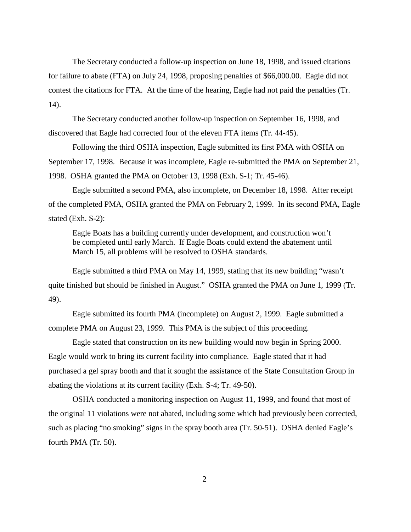The Secretary conducted a follow-up inspection on June 18, 1998, and issued citations for failure to abate (FTA) on July 24, 1998, proposing penalties of \$66,000.00. Eagle did not contest the citations for FTA. At the time of the hearing, Eagle had not paid the penalties (Tr. 14).

The Secretary conducted another follow-up inspection on September 16, 1998, and discovered that Eagle had corrected four of the eleven FTA items (Tr. 44-45).

Following the third OSHA inspection, Eagle submitted its first PMA with OSHA on September 17, 1998. Because it was incomplete, Eagle re-submitted the PMA on September 21, 1998. OSHA granted the PMA on October 13, 1998 (Exh. S-1; Tr. 45-46).

Eagle submitted a second PMA, also incomplete, on December 18, 1998. After receipt of the completed PMA, OSHA granted the PMA on February 2, 1999. In its second PMA, Eagle stated (Exh. S-2):

Eagle Boats has a building currently under development, and construction won't be completed until early March. If Eagle Boats could extend the abatement until March 15, all problems will be resolved to OSHA standards.

Eagle submitted a third PMA on May 14, 1999, stating that its new building "wasn't quite finished but should be finished in August." OSHA granted the PMA on June 1, 1999 (Tr. 49).

Eagle submitted its fourth PMA (incomplete) on August 2, 1999. Eagle submitted a complete PMA on August 23, 1999. This PMA is the subject of this proceeding.

Eagle stated that construction on its new building would now begin in Spring 2000. Eagle would work to bring its current facility into compliance. Eagle stated that it had purchased a gel spray booth and that it sought the assistance of the State Consultation Group in abating the violations at its current facility (Exh. S-4; Tr. 49-50).

OSHA conducted a monitoring inspection on August 11, 1999, and found that most of the original 11 violations were not abated, including some which had previously been corrected, such as placing "no smoking" signs in the spray booth area (Tr. 50-51). OSHA denied Eagle's fourth PMA (Tr. 50).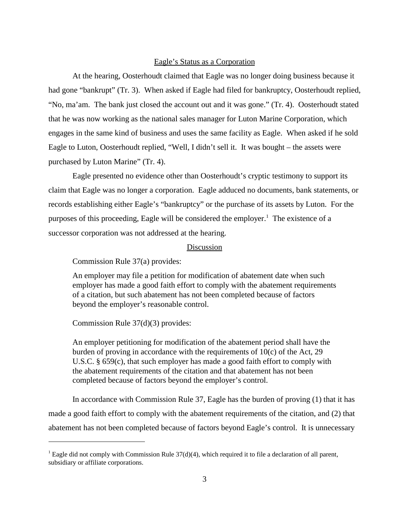#### Eagle's Status as a Corporation

At the hearing, Oosterhoudt claimed that Eagle was no longer doing business because it had gone "bankrupt" (Tr. 3). When asked if Eagle had filed for bankruptcy, Oosterhoudt replied, "No, ma'am. The bank just closed the account out and it was gone." (Tr. 4). Oosterhoudt stated that he was now working as the national sales manager for Luton Marine Corporation, which engages in the same kind of business and uses the same facility as Eagle. When asked if he sold Eagle to Luton, Oosterhoudt replied, "Well, I didn't sell it. It was bought – the assets were purchased by Luton Marine" (Tr. 4).

Eagle presented no evidence other than Oosterhoudt's cryptic testimony to support its claim that Eagle was no longer a corporation. Eagle adduced no documents, bank statements, or records establishing either Eagle's "bankruptcy" or the purchase of its assets by Luton. For the purposes of this proceeding, Eagle will be considered the employer.<sup>1</sup> The existence of a successor corporation was not addressed at the hearing.

## Discussion

Commission Rule 37(a) provides:

An employer may file a petition for modification of abatement date when such employer has made a good faith effort to comply with the abatement requirements of a citation, but such abatement has not been completed because of factors beyond the employer's reasonable control.

Commission Rule 37(d)(3) provides:

An employer petitioning for modification of the abatement period shall have the burden of proving in accordance with the requirements of 10(c) of the Act, 29 U.S.C. § 659(c), that such employer has made a good faith effort to comply with the abatement requirements of the citation and that abatement has not been completed because of factors beyond the employer's control.

In accordance with Commission Rule 37, Eagle has the burden of proving (1) that it has made a good faith effort to comply with the abatement requirements of the citation, and (2) that abatement has not been completed because of factors beyond Eagle's control. It is unnecessary

<sup>&</sup>lt;sup>1</sup> Eagle did not comply with Commission Rule  $37(d)(4)$ , which required it to file a declaration of all parent, subsidiary or affiliate corporations.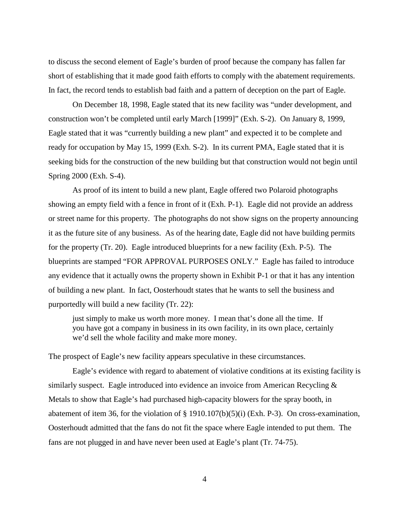to discuss the second element of Eagle's burden of proof because the company has fallen far short of establishing that it made good faith efforts to comply with the abatement requirements. In fact, the record tends to establish bad faith and a pattern of deception on the part of Eagle.

On December 18, 1998, Eagle stated that its new facility was "under development, and construction won't be completed until early March [1999]" (Exh. S-2). On January 8, 1999, Eagle stated that it was "currently building a new plant" and expected it to be complete and ready for occupation by May 15, 1999 (Exh. S-2). In its current PMA, Eagle stated that it is seeking bids for the construction of the new building but that construction would not begin until Spring 2000 (Exh. S-4).

As proof of its intent to build a new plant, Eagle offered two Polaroid photographs showing an empty field with a fence in front of it (Exh. P-1). Eagle did not provide an address or street name for this property. The photographs do not show signs on the property announcing it as the future site of any business. As of the hearing date, Eagle did not have building permits for the property (Tr. 20). Eagle introduced blueprints for a new facility (Exh. P-5). The blueprints are stamped "FOR APPROVAL PURPOSES ONLY." Eagle has failed to introduce any evidence that it actually owns the property shown in Exhibit P-1 or that it has any intention of building a new plant. In fact, Oosterhoudt states that he wants to sell the business and purportedly will build a new facility (Tr. 22):

just simply to make us worth more money. I mean that's done all the time. If you have got a company in business in its own facility, in its own place, certainly we'd sell the whole facility and make more money.

The prospect of Eagle's new facility appears speculative in these circumstances.

Eagle's evidence with regard to abatement of violative conditions at its existing facility is similarly suspect. Eagle introduced into evidence an invoice from American Recycling  $\&$ Metals to show that Eagle's had purchased high-capacity blowers for the spray booth, in abatement of item 36, for the violation of § 1910.107(b)(5)(i) (Exh. P-3). On cross-examination, Oosterhoudt admitted that the fans do not fit the space where Eagle intended to put them. The fans are not plugged in and have never been used at Eagle's plant (Tr. 74-75).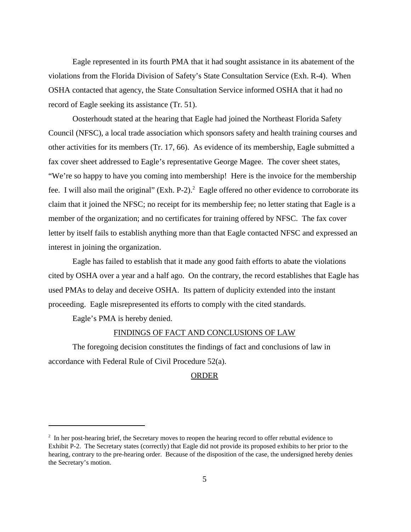Eagle represented in its fourth PMA that it had sought assistance in its abatement of the violations from the Florida Division of Safety's State Consultation Service (Exh. R-4). When OSHA contacted that agency, the State Consultation Service informed OSHA that it had no record of Eagle seeking its assistance (Tr. 51).

Oosterhoudt stated at the hearing that Eagle had joined the Northeast Florida Safety Council (NFSC), a local trade association which sponsors safety and health training courses and other activities for its members (Tr. 17, 66). As evidence of its membership, Eagle submitted a fax cover sheet addressed to Eagle's representative George Magee. The cover sheet states, "We're so happy to have you coming into membership! Here is the invoice for the membership fee. I will also mail the original" (Exh. P-2).<sup>2</sup> Eagle offered no other evidence to corroborate its claim that it joined the NFSC; no receipt for its membership fee; no letter stating that Eagle is a member of the organization; and no certificates for training offered by NFSC. The fax cover letter by itself fails to establish anything more than that Eagle contacted NFSC and expressed an interest in joining the organization.

Eagle has failed to establish that it made any good faith efforts to abate the violations cited by OSHA over a year and a half ago. On the contrary, the record establishes that Eagle has used PMAs to delay and deceive OSHA. Its pattern of duplicity extended into the instant proceeding. Eagle misrepresented its efforts to comply with the cited standards.

Eagle's PMA is hereby denied.

# FINDINGS OF FACT AND CONCLUSIONS OF LAW

The foregoing decision constitutes the findings of fact and conclusions of law in accordance with Federal Rule of Civil Procedure 52(a).

#### ORDER

 $2<sup>2</sup>$  In her post-hearing brief, the Secretary moves to reopen the hearing record to offer rebuttal evidence to Exhibit P-2. The Secretary states (correctly) that Eagle did not provide its proposed exhibits to her prior to the hearing, contrary to the pre-hearing order. Because of the disposition of the case, the undersigned hereby denies the Secretary's motion.